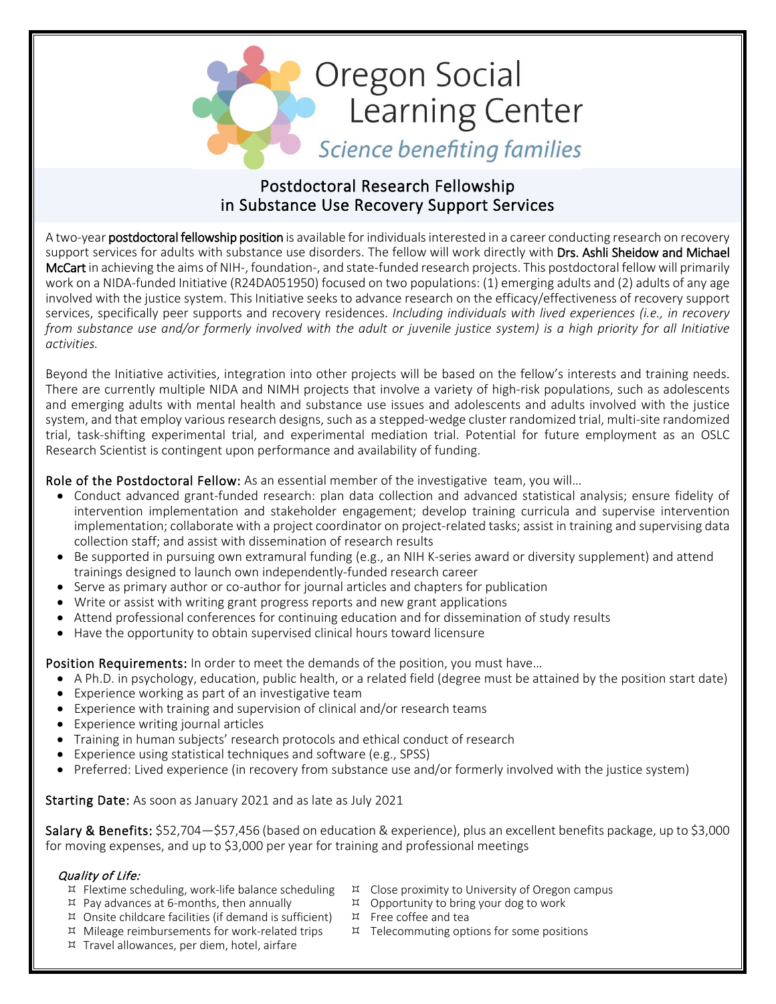

# Postdoctoral Research Fellowship in Substance Use Recovery Support Services

A two-year postdoctoral fellowship position is available for individuals interested in a career conducting research on recovery support services for adults with substance use disorders. The fellow will work directly with Drs. Ashli Sheidow and Michael McCart in achieving the aims of NIH-, foundation-, and state-funded research projects. This postdoctoral fellow will primarily work on a NIDA-funded Initiative (R24DA051950) focused on two populations: (1) emerging adults and (2) adults of any age involved with the justice system. This Initiative seeks to advance research on the efficacy/effectiveness of recovery support services, specifically peer supports and recovery residences. *Including individuals with lived experiences (i.e., in recovery from substance use and/or formerly involved with the adult or juvenile justice system) is a high priority for all Initiative activities.*

Beyond the Initiative activities, integration into other projects will be based on the fellow's interests and training needs. There are currently multiple NIDA and NIMH projects that involve a variety of high-risk populations, such as adolescents and emerging adults with mental health and substance use issues and adolescents and adults involved with the justice system, and that employ various research designs, such as a stepped-wedge cluster randomized trial, multi-site randomized trial, task-shifting experimental trial, and experimental mediation trial. Potential for future employment as an OSLC Research Scientist is contingent upon performance and availability of funding.

# Role of the Postdoctoral Fellow: As an essential member of the investigative team, you will...

- Conduct advanced grant-funded research: plan data collection and advanced statistical analysis; ensure fidelity of intervention implementation and stakeholder engagement; develop training curricula and supervise intervention implementation; collaborate with a project coordinator on project-related tasks; assist in training and supervising data collection staff; and assist with dissemination of research results
- Be supported in pursuing own extramural funding (e.g., an NIH K-series award or diversity supplement) and attend trainings designed to launch own independently-funded research career
- Serve as primary author or co-author for journal articles and chapters for publication
- Write or assist with writing grant progress reports and new grant applications
- Attend professional conferences for continuing education and for dissemination of study results
- Have the opportunity to obtain supervised clinical hours toward licensure

Position Requirements: In order to meet the demands of the position, you must have...

- A Ph.D. in psychology, education, public health, or a related field (degree must be attained by the position start date)
- Experience working as part of an investigative team
- Experience with training and supervision of clinical and/or research teams
- Experience writing journal articles
- Training in human subjects' research protocols and ethical conduct of research
- Experience using statistical techniques and software (e.g., SPSS)
- Preferred: Lived experience (in recovery from substance use and/or formerly involved with the justice system)

Starting Date: As soon as January 2021 and as late as July 2021

Salary & Benefits: \$52,704—\$57,456 (based on education & experience), plus an excellent benefits package, up to \$3,000 for moving expenses, and up to \$3,000 per year for training and professional meetings

## Quality of Life:

- $E$  Flextime scheduling, work-life balance scheduling
- $\overline{p}$  Pay advances at 6-months, then annually
- $\overline{p}$  Onsite childcare facilities (if demand is sufficient)
- Mileage reimbursements for work-related trips
- $\overline{p}$  Travel allowances, per diem, hotel, airfare
- $\overline{p}$  Close proximity to University of Oregon campus
- Opportunity to bring your dog to work
- Free coffee and tea
- $H$  Telecommuting options for some positions